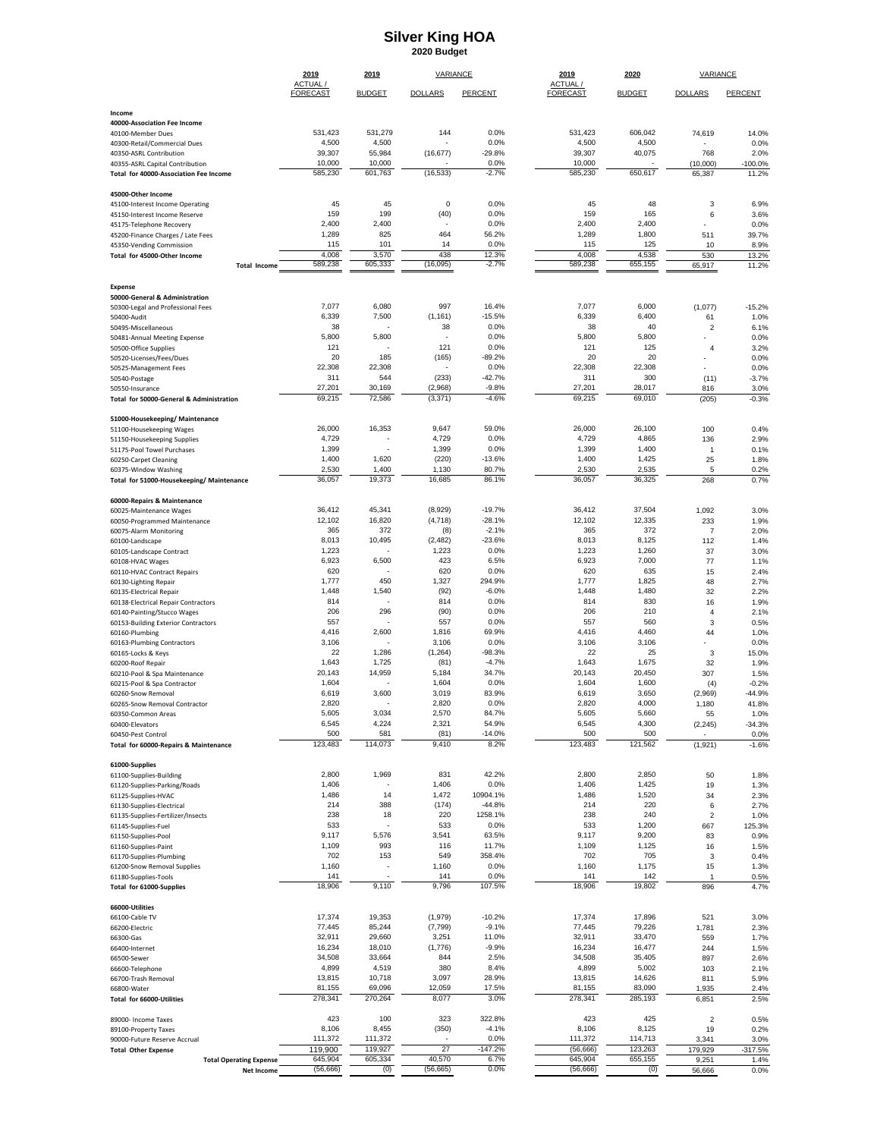## **Silver King HOA Proposed 2020 Budget Silver King HOA 2020 Budget**

|                                                                           | 2019                              | 2019               | <b>VARIANCE</b>   |                   | 2019                             | 2020               | VARIANCE              |                    |  |
|---------------------------------------------------------------------------|-----------------------------------|--------------------|-------------------|-------------------|----------------------------------|--------------------|-----------------------|--------------------|--|
|                                                                           | <b>ACTUAL/</b><br><b>FORECAST</b> | <b>BUDGET</b>      | <b>DOLLARS</b>    | PERCENT           | <b>ACTUAL</b><br><b>FORECAST</b> | <b>BUDGET</b>      | <b>DOLLARS</b>        | PERCENT            |  |
|                                                                           |                                   |                    |                   |                   |                                  |                    |                       |                    |  |
| Income<br>40000-Association Fee Income                                    |                                   |                    |                   |                   |                                  |                    |                       |                    |  |
| 40100-Member Dues                                                         | 531,423                           | 531,279            | 144               | 0.0%              | 531,423                          | 606,042            | 74,619                | 14.0%              |  |
| 40300-Retail/Commercial Dues                                              | 4,500                             | 4,500              |                   | 0.0%              | 4,500                            | 4,500              |                       | 0.0%               |  |
| 40350-ASRL Contribution                                                   | 39,307<br>10,000                  | 55,984<br>10,000   | (16, 677)         | $-29.8%$<br>0.0%  | 39,307<br>10,000                 | 40,075             | 768                   | 2.0%               |  |
| 40355-ASRL Capital Contribution<br>Total for 40000-Association Fee Income | 585,230                           | 601,763            | (16, 533)         | $-2.7%$           | 585,230                          | 650,617            | (10,000)<br>65,387    | $-100.0%$<br>11.2% |  |
|                                                                           |                                   |                    |                   |                   |                                  |                    |                       |                    |  |
| 45000-Other Income                                                        |                                   |                    |                   |                   |                                  |                    |                       |                    |  |
| 45100-Interest Income Operating<br>45150-Interest Income Reserve          | 45<br>159                         | 45<br>199          | $\pmb{0}$<br>(40) | 0.0%<br>0.0%      | 45<br>159                        | 48<br>165          | 3<br>$\,6\,$          | 6.9%<br>3.6%       |  |
| 45175-Telephone Recovery                                                  | 2,400                             | 2,400              |                   | 0.0%              | 2,400                            | 2,400              |                       | 0.0%               |  |
| 45200-Finance Charges / Late Fees                                         | 1,289                             | 825                | 464               | 56.2%             | 1,289                            | 1,800              | 511                   | 39.7%              |  |
| 45350-Vending Commission                                                  | 115                               | 101                | 14                | 0.0%              | 115                              | 125                | 10                    | 8.9%               |  |
| Total for 45000-Other Income<br><b>Total Income</b>                       | 4,008<br>589,238                  | 3,570<br>605,333   | 438<br>(16,095)   | 12.3%<br>$-2.7%$  | 4,008<br>589,238                 | 4,538<br>655,155   | 530<br>65,917         | 13.2%<br>11.2%     |  |
|                                                                           |                                   |                    |                   |                   |                                  |                    |                       |                    |  |
| Expense                                                                   |                                   |                    |                   |                   |                                  |                    |                       |                    |  |
| 50000-General & Administration                                            |                                   |                    |                   |                   |                                  |                    |                       |                    |  |
| 50300-Legal and Professional Fees<br>50400-Audit                          | 7,077<br>6,339                    | 6,080<br>7,500     | 997<br>(1, 161)   | 16.4%<br>$-15.5%$ | 7,077<br>6,339                   | 6,000<br>6,400     | (1,077)<br>61         | $-15.2%$<br>1.0%   |  |
| 50495-Miscellaneous                                                       | 38                                |                    | 38                | 0.0%              | 38                               | 40                 | $\overline{2}$        | 6.1%               |  |
| 50481-Annual Meeting Expense                                              | 5,800                             | 5,800              |                   | 0.0%              | 5,800                            | 5,800              |                       | 0.0%               |  |
| 50500-Office Supplies                                                     | 121                               |                    | 121               | 0.0%              | 121                              | 125                | $\overline{4}$        | 3.2%               |  |
| 50520-Licenses/Fees/Dues<br>50525-Management Fees                         | 20<br>22,308                      | 185<br>22,308      | (165)             | $-89.2%$<br>0.0%  | 20<br>22,308                     | 20<br>22,308       |                       | 0.0%<br>0.0%       |  |
| 50540-Postage                                                             | 311                               | 544                | (233)             | $-42.7%$          | 311                              | 300                | (11)                  | $-3.7%$            |  |
| 50550-Insurance                                                           | 27,201                            | 30,169             | (2,968)           | $-9.8%$           | 27,201                           | 28,017             | 816                   | 3.0%               |  |
| Total for 50000-General & Administration                                  | 69,215                            | 72,586             | (3, 371)          | $-4.6%$           | 69,215                           | 69,010             | (205)                 | $-0.3%$            |  |
| 51000-Housekeeping/ Maintenance                                           |                                   |                    |                   |                   |                                  |                    |                       |                    |  |
| 51100-Housekeeping Wages                                                  | 26,000                            | 16,353             | 9,647             | 59.0%             | 26,000                           | 26,100             | 100                   | 0.4%               |  |
| 51150-Housekeeping Supplies                                               | 4,729                             |                    | 4,729             | 0.0%              | 4,729                            | 4,865              | 136                   | 2.9%               |  |
| 51175-Pool Towel Purchases                                                | 1,399                             |                    | 1,399             | 0.0%              | 1,399                            | 1,400              | -1                    | 0.1%               |  |
| 60250-Carpet Cleaning<br>60375-Window Washing                             | 1,400<br>2,530                    | 1,620<br>1,400     | (220)<br>1,130    | $-13.6%$<br>80.7% | 1,400<br>2,530                   | 1,425<br>2,535     | 25<br>5               | 1.8%<br>0.2%       |  |
| Total for 51000-Housekeeping/ Maintenance                                 | 36,057                            | 19,373             | 16,685            | 86.1%             | 36,057                           | 36,325             | 268                   | 0.7%               |  |
|                                                                           |                                   |                    |                   |                   |                                  |                    |                       |                    |  |
| 60000-Repairs & Maintenance                                               | 36,412                            | 45,341             | (8,929)           | $-19.7%$          | 36,412                           | 37,504             | 1,092                 | 3.0%               |  |
| 60025-Maintenance Wages<br>60050-Programmed Maintenance                   | 12,102                            | 16,820             | (4, 718)          | $-28.1%$          | 12,102                           | 12,335             | 233                   | 1.9%               |  |
| 60075-Alarm Monitoring                                                    | 365                               | 372                | (8)               | $-2.1%$           | 365                              | 372                | $\overline{7}$        | 2.0%               |  |
| 60100-Landscape                                                           | 8,013                             | 10,495             | (2, 482)          | $-23.6%$          | 8,013                            | 8,125              | 112                   | 1.4%               |  |
| 60105-Landscape Contract                                                  | 1,223<br>6,923                    | 6,500              | 1,223<br>423      | 0.0%<br>6.5%      | 1,223<br>6,923                   | 1,260<br>7,000     | 37                    | 3.0%               |  |
| 60108-HVAC Wages<br>60110-HVAC Contract Repairs                           | 620                               |                    | 620               | 0.0%              | 620                              | 635                | 77<br>15              | 1.1%<br>2.4%       |  |
| 60130-Lighting Repair                                                     | 1,777                             | 450                | 1,327             | 294.9%            | 1,777                            | 1,825              | 48                    | 2.7%               |  |
| 60135-Electrical Repair                                                   | 1,448                             | 1,540              | (92)              | $-6.0%$           | 1,448                            | 1,480              | 32                    | 2.2%               |  |
| 60138-Electrical Repair Contractors                                       | 814                               |                    | 814               | 0.0%              | 814                              | 830                | 16                    | 1.9%               |  |
| 60140-Painting/Stucco Wages<br>60153-Building Exterior Contractors        | 206<br>557                        | 296                | (90)<br>557       | 0.0%<br>0.0%      | 206<br>557                       | 210<br>560         | $\overline{4}$<br>3   | 2.1%<br>0.5%       |  |
| 60160-Plumbing                                                            | 4,416                             | 2,600              | 1,816             | 69.9%             | 4,416                            | 4,460              | 44                    | 1.0%               |  |
| 60163-Plumbing Contractors                                                | 3,106                             |                    | 3,106             | 0.0%              | 3,106                            | 3,106              |                       | 0.0%               |  |
| 60165-Locks & Keys                                                        | 22                                | 1,286              | (1, 264)          | $-98.3%$          | 22                               | 25                 | 3                     | 15.0%              |  |
| 60200-Roof Repair                                                         | 1,643<br>20,143                   | 1,725<br>14,959    | (81)<br>5,184     | $-4.7%$<br>34.7%  | 1,643<br>20,143                  | 1,675<br>20,450    | 32                    | 1.9%               |  |
| 60210-Pool & Spa Maintenance<br>60215-Pool & Spa Contractor               | 1,604                             |                    | 1,604             | 0.0%              | 1,604                            | 1,600              | 307<br>(4)            | 1.5%<br>$-0.2%$    |  |
| 60260-Snow Removal                                                        | 6,619                             | 3,600              | 3,019             | 83.9%             | 6,619                            | 3,650              | (2,969)               | $-44.9%$           |  |
| 60265-Snow Removal Contractor                                             | 2,820                             |                    | 2,820             | 0.0%              | 2,820                            | 4,000              | 1,180                 | 41.8%              |  |
| 60350-Common Aı                                                           | 5,605                             | 3,034              | 2,570             | 84.1%             | 5,6U5                            | 5,66U              | 55                    | 1.0%               |  |
| 60400-Elevators<br>60450-Pest Control                                     | 6,545<br>500                      | 4,224<br>581       | 2,321<br>(81)     | 54.9%<br>$-14.0%$ | 6,545<br>500                     | 4,300<br>500       | (2, 245)              | $-34.3%$<br>0.0%   |  |
| Total for 60000-Repairs & Maintenance                                     | 123,483                           | 114,073            | 9,410             | 8.2%              | 123,483                          | 121,562            | (1, 921)              | $-1.6%$            |  |
|                                                                           |                                   |                    |                   |                   |                                  |                    |                       |                    |  |
| 61000-Supplies<br>61100-Supplies-Building                                 | 2,800                             | 1,969              | 831               | 42.2%             | 2,800                            | 2,850              | 50                    | 1.8%               |  |
| 61120-Supplies-Parking/Roads                                              | 1,406                             |                    | 1,406             | 0.0%              | 1,406                            | 1,425              | 19                    | 1.3%               |  |
| 61125-Supplies-HVAC                                                       | 1,486                             | 14                 | 1,472             | 10904.1%          | 1,486                            | 1,520              | 34                    | 2.3%               |  |
| 61130-Supplies-Electrical                                                 | 214                               | 388                | (174)             | $-44.8%$          | 214                              | 220                | 6                     | 2.7%               |  |
| 61135-Supplies-Fertilizer/Insects<br>61145-Supplies-Fuel                  | 238<br>533                        | 18                 | 220<br>533        | 1258.1%<br>0.0%   | 238<br>533                       | 240<br>1,200       | $\overline{c}$<br>667 | 1.0%<br>125.3%     |  |
| 61150-Supplies-Pool                                                       | 9,117                             | 5,576              | 3,541             | 63.5%             | 9,117                            | 9,200              | 83                    | 0.9%               |  |
| 61160-Supplies-Paint                                                      | 1,109                             | 993                | 116               | 11.7%             | 1,109                            | 1,125              | 16                    | 1.5%               |  |
| 61170-Supplies-Plumbing                                                   | 702<br>1,160                      | 153                | 549<br>1,160      | 358.4%<br>0.0%    | 702<br>1,160                     | 705<br>1,175       | 3<br>15               | 0.4%<br>1.3%       |  |
| 61200-Snow Removal Supplies<br>61180-Supplies-Tools                       | 141                               |                    | 141               | 0.0%              | 141                              | 142                |                       | 0.5%               |  |
| Total for 61000-Supplies                                                  | 18,906                            | 9,110              | 9,796             | 107.5%            | 18,906                           | 19,802             | 896                   | 4.7%               |  |
|                                                                           |                                   |                    |                   |                   |                                  |                    |                       |                    |  |
| 66000-Utilities<br>66100-Cable TV                                         | 17,374                            | 19,353             | (1,979)           | $-10.2%$          | 17,374                           | 17,896             | 521                   | 3.0%               |  |
| 66200-Electric                                                            | 77,445                            | 85,244             | (7, 799)          | $-9.1%$           | 77,445                           | 79,226             | 1,781                 | 2.3%               |  |
| 66300-Gas                                                                 | 32,911                            | 29,660             | 3,251             | 11.0%             | 32,911                           | 33,470             | 559                   | 1.7%               |  |
| 66400-Internet                                                            | 16,234                            | 18,010             | (1,776)           | $-9.9%$           | 16,234                           | 16,477             | 244                   | 1.5%               |  |
| 66500-Sewer<br>66600-Telephone                                            | 34,508<br>4,899                   | 33,664<br>4,519    | 844<br>380        | 2.5%<br>8.4%      | 34,508<br>4,899                  | 35,405<br>5,002    | 897<br>103            | 2.6%<br>2.1%       |  |
| 66700-Trash Removal                                                       | 13,815                            | 10,718             | 3,097             | 28.9%             | 13,815                           | 14,626             | 811                   | 5.9%               |  |
| 66800-Water                                                               | 81,155                            | 69,096             | 12,059            | 17.5%             | 81,155                           | 83,090             | 1,935                 | 2.4%               |  |
| Total for 66000-Utilities                                                 | 278,341                           | 270,264            | 8,077             | 3.0%              | 278,341                          | 285,193            | 6,851                 | 2.5%               |  |
| 89000- Income Taxes                                                       | 423                               | 100                | 323               | 322.8%            | 423                              | 425                | $\overline{c}$        | 0.5%               |  |
| 89100-Property Taxes                                                      | 8,106                             | 8,455              | (350)             | $-4.1%$           | 8,106                            | 8,125              | 19                    | 0.2%               |  |
| 90000-Future Reserve Accrual                                              | 111,372                           | 111,372            |                   | 0.0%              | 111,372                          | 114,713            | 3,341                 | 3.0%               |  |
| <b>Total Other Expense</b>                                                | 119,900<br>645,904                | 119,927<br>605,334 | 27<br>40,570      | $-147.2%$<br>6.7% | (56, 666)<br>645,904             | 123,263<br>655,155 | 179,929               | $-317.5%$          |  |
| <b>Total Operating Expense</b><br><b>Net Income</b>                       | (56, 666)                         | (0)                | (56, 665)         | 0.0%              | (56, 666)                        | (0)                | 9,251<br>56,666       | 1.4%<br>0.0%       |  |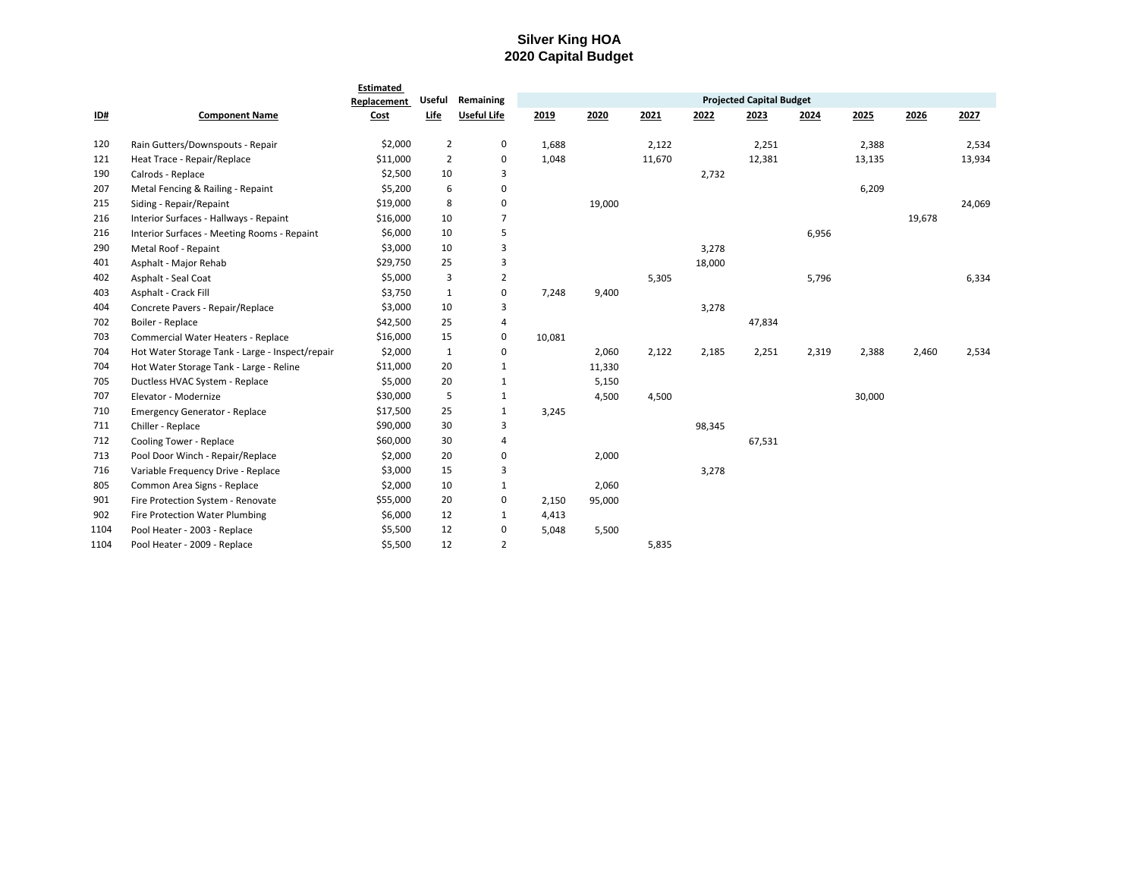## **Silver King HOA 2020 Capital Budget**

|                             |                                                 | <b>Estimated</b> |                |                |                                 |        |        |        |        |       |        |        |        |
|-----------------------------|-------------------------------------------------|------------------|----------------|----------------|---------------------------------|--------|--------|--------|--------|-------|--------|--------|--------|
|                             |                                                 | Replacement      | <b>Useful</b>  | Remaining      | <b>Projected Capital Budget</b> |        |        |        |        |       |        |        |        |
| $\underline{\mathsf{ID}\#}$ | <b>Component Name</b>                           | Cost             | <b>Life</b>    | Useful Life    | 2019                            | 2020   | 2021   | 2022   | 2023   | 2024  | 2025   | 2026   | 2027   |
| 120                         | Rain Gutters/Downspouts - Repair                | \$2,000          | $\overline{2}$ | 0              | 1,688                           |        | 2,122  |        | 2,251  |       | 2,388  |        | 2,534  |
| 121                         | Heat Trace - Repair/Replace                     | \$11,000         | $\overline{2}$ | 0              | 1,048                           |        | 11,670 |        | 12,381 |       | 13,135 |        | 13,934 |
| 190                         | Calrods - Replace                               | \$2,500          | 10             | 3              |                                 |        |        | 2,732  |        |       |        |        |        |
| 207                         | Metal Fencing & Railing - Repaint               | \$5,200          | 6              | 0              |                                 |        |        |        |        |       | 6,209  |        |        |
| 215                         | Siding - Repair/Repaint                         | \$19,000         | 8              | 0              |                                 | 19,000 |        |        |        |       |        |        | 24,069 |
| 216                         | Interior Surfaces - Hallways - Repaint          | \$16,000         | 10             | $\overline{7}$ |                                 |        |        |        |        |       |        | 19,678 |        |
| 216                         | Interior Surfaces - Meeting Rooms - Repaint     | \$6,000          | 10             | 5              |                                 |        |        |        |        | 6,956 |        |        |        |
| 290                         | Metal Roof - Repaint                            | \$3,000          | 10             | 3              |                                 |        |        | 3,278  |        |       |        |        |        |
| 401                         | Asphalt - Major Rehab                           | \$29,750         | 25             | 3              |                                 |        |        | 18,000 |        |       |        |        |        |
| 402                         | Asphalt - Seal Coat                             | \$5,000          | 3              | $\overline{2}$ |                                 |        | 5,305  |        |        | 5,796 |        |        | 6,334  |
| 403                         | Asphalt - Crack Fill                            | \$3,750          | 1              | 0              | 7,248                           | 9,400  |        |        |        |       |        |        |        |
| 404                         | Concrete Pavers - Repair/Replace                | \$3,000          | 10             | 3              |                                 |        |        | 3,278  |        |       |        |        |        |
| 702                         | Boiler - Replace                                | \$42,500         | 25             | 4              |                                 |        |        |        | 47,834 |       |        |        |        |
| 703                         | Commercial Water Heaters - Replace              | \$16,000         | 15             | 0              | 10,081                          |        |        |        |        |       |        |        |        |
| 704                         | Hot Water Storage Tank - Large - Inspect/repair | \$2,000          | 1              | 0              |                                 | 2,060  | 2,122  | 2,185  | 2,251  | 2,319 | 2,388  | 2,460  | 2,534  |
| 704                         | Hot Water Storage Tank - Large - Reline         | \$11,000         | 20             | $\mathbf{1}$   |                                 | 11,330 |        |        |        |       |        |        |        |
| 705                         | Ductless HVAC System - Replace                  | \$5,000          | 20             | 1              |                                 | 5,150  |        |        |        |       |        |        |        |
| 707                         | Elevator - Modernize                            | \$30,000         | 5              | 1              |                                 | 4,500  | 4,500  |        |        |       | 30,000 |        |        |
| 710                         | <b>Emergency Generator - Replace</b>            | \$17,500         | 25             | $\mathbf{1}$   | 3,245                           |        |        |        |        |       |        |        |        |
| 711                         | Chiller - Replace                               | \$90,000         | 30             | 3              |                                 |        |        | 98,345 |        |       |        |        |        |
| 712                         | Cooling Tower - Replace                         | \$60,000         | 30             | 4              |                                 |        |        |        | 67,531 |       |        |        |        |
| 713                         | Pool Door Winch - Repair/Replace                | \$2,000          | 20             | 0              |                                 | 2,000  |        |        |        |       |        |        |        |
| 716                         | Variable Frequency Drive - Replace              | \$3,000          | 15             | 3              |                                 |        |        | 3,278  |        |       |        |        |        |
| 805                         | Common Area Signs - Replace                     | \$2,000          | 10             | $\mathbf{1}$   |                                 | 2,060  |        |        |        |       |        |        |        |
| 901                         | Fire Protection System - Renovate               | \$55,000         | 20             | 0              | 2,150                           | 95,000 |        |        |        |       |        |        |        |
| 902                         | Fire Protection Water Plumbing                  | \$6,000          | 12             | 1              | 4,413                           |        |        |        |        |       |        |        |        |
| 1104                        | Pool Heater - 2003 - Replace                    | \$5,500          | 12             | 0              | 5,048                           | 5,500  |        |        |        |       |        |        |        |
| 1104                        | Pool Heater - 2009 - Replace                    | \$5,500          | 12             | $\overline{2}$ |                                 |        | 5,835  |        |        |       |        |        |        |